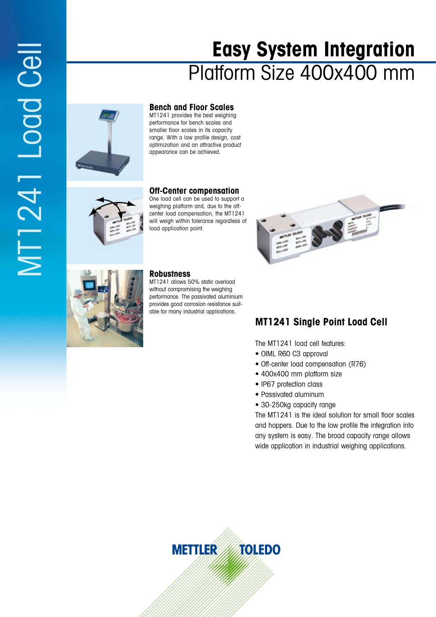# MT1241 Load Cell MT1241 Logd Cell

# **Easy System Integration** Platform Size 400x400 mm



### **Bench and Floor Scales**

MT1241 provides the best weighing performance for bench scales and smaller floor scales in its capacity range. With a low profile design, cost optimization and an attractive product appearance can be achieved.



### **Off-Center compensation**

One load cell can be used to support a weighing platform and, due to the offcenter load compensation, the MT1241 will weigh within tolerance regardless of load application point.



MT1241 allows 50% static overload without compromising the weighing performance. The passivated aluminium provides good corrosion resistance suitable for many industrial applications.



# **MT1241 Single Point Load Cell**

The MT1241 load cell features:

- OIML R60 C3 approval
- Off-center load compensation (R76)
- 400x400 mm platform size
- IP67 protection class
- Passivated aluminum
- 30-250kg capacity range

The MT1241 is the ideal solution for small floor scales and hoppers. Due to the low profile the integration into any system is easy. The broad capacity range allows wide application in industrial weighing applications.

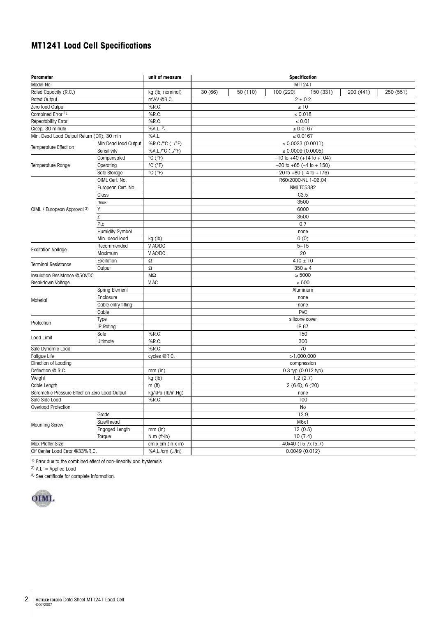## **MT1241 Load Cell Specifications**

| <b>Parameter</b>                               |                        | unit of measure   | Specification                      |                   |  |                       |           |           |           |  |
|------------------------------------------------|------------------------|-------------------|------------------------------------|-------------------|--|-----------------------|-----------|-----------|-----------|--|
| Model No:                                      |                        |                   | MT1241                             |                   |  |                       |           |           |           |  |
| Rated Capacity (R.C.)                          |                        | kg (lb, nominal)  | 30(66)                             | 50 (110)          |  | 100 (220)             | 150 (331) | 200 (441) | 250 (551) |  |
| <b>Rated Output</b>                            |                        | mV/V @R.C.        | $2 \pm 0.2$                        |                   |  |                       |           |           |           |  |
| Zero load Output                               |                        | %R.C.             | $\leq 10$                          |                   |  |                       |           |           |           |  |
| Combined Error <sup>1)</sup>                   |                        | %R.C.             | ≤ $0.018$                          |                   |  |                       |           |           |           |  |
| Repeatability Error                            |                        | %R.C.             | $\leq 0.01$                        |                   |  |                       |           |           |           |  |
| Creep, 30 minute                               |                        | %A.L. 2)          | $\leq 0.0167$                      |                   |  |                       |           |           |           |  |
| Min. Dead Load Output Return (DR), 30 min      |                        | %A.L.             | $\leq 0.0167$                      |                   |  |                       |           |           |           |  |
| Temperature Effect on                          | Min Dead load Output   | %R.C./°C (/°F)    | $\leq 0.0023(0.0011)$              |                   |  |                       |           |           |           |  |
|                                                | Sensitivity            | %A.L./°C (/°F)    | $\leq 0.0009(0.0005)$              |                   |  |                       |           |           |           |  |
| Temperature Range                              | Compensated            | °C (°F)           | $-10$ to $+40$ ( $+14$ to $+104$ ) |                   |  |                       |           |           |           |  |
|                                                | Operating              | °C (°F)           | $-20$ to $+65$ ( $-4$ to $+150$ )  |                   |  |                       |           |           |           |  |
|                                                | Safe Storage           | °C (°F)           | $-20$ to $+80$ ( $-4$ to $+176$ )  |                   |  |                       |           |           |           |  |
|                                                | OIML Cert. No.         |                   | R60/2000-NL 1-06.04                |                   |  |                       |           |           |           |  |
|                                                | European Cert. No.     |                   | NMi TC5382                         |                   |  |                       |           |           |           |  |
|                                                | Class                  |                   | C3.5                               |                   |  |                       |           |           |           |  |
|                                                | <b>n</b> max           |                   | 3500                               |                   |  |                       |           |           |           |  |
| OIML / European Approval 3)                    | Y                      |                   | 6000                               |                   |  |                       |           |           |           |  |
|                                                | Z                      |                   | 3500                               |                   |  |                       |           |           |           |  |
|                                                | PLC                    |                   | 0.7                                |                   |  |                       |           |           |           |  |
|                                                | <b>Humidity Symbol</b> |                   | none                               |                   |  |                       |           |           |           |  |
|                                                | Min. dead load         | kg (lb)           | 0(0)                               |                   |  |                       |           |           |           |  |
| <b>Excitation Voltage</b>                      | Recommended            | V AC/DC           |                                    |                   |  | $5 - 15$              |           |           |           |  |
|                                                | Maximum                | V AC/DC           | 20                                 |                   |  |                       |           |           |           |  |
|                                                | Excitation             | $\Omega$          |                                    |                   |  | $410 \pm 10$          |           |           |           |  |
| <b>Terminal Resistance</b>                     | Output                 | Ω                 | $350 \pm 4$                        |                   |  |                       |           |           |           |  |
| Insulation Resistance @50VDC                   |                        | $M\Omega$         |                                    | $\geq 5000$       |  |                       |           |           |           |  |
| Breakdown Voltage                              |                        | V AC              |                                    |                   |  | > 500                 |           |           |           |  |
|                                                | Spring Element         |                   |                                    |                   |  | Aluminum              |           |           |           |  |
|                                                | Enclosure              |                   |                                    |                   |  | none                  |           |           |           |  |
| Material                                       | Cable entry fitting    |                   |                                    |                   |  | none                  |           |           |           |  |
|                                                | Cable                  |                   |                                    |                   |  | <b>PVC</b>            |           |           |           |  |
| Protection                                     | Type                   |                   |                                    |                   |  | silicone cover        |           |           |           |  |
|                                                | <b>IP</b> Rating       |                   | IP 67                              |                   |  |                       |           |           |           |  |
| Load Limit                                     | Safe                   | %R.C.             |                                    |                   |  | 150                   |           |           |           |  |
|                                                | Ultimate               | %R.C.             | 300                                |                   |  |                       |           |           |           |  |
| Safe Dynamic Load                              |                        | %R.C.             | 70                                 |                   |  |                       |           |           |           |  |
| Fatigue Life                                   |                        | cycles @R.C.      | >1,000,000                         |                   |  |                       |           |           |           |  |
| Direction of Loading                           |                        |                   | compression                        |                   |  |                       |           |           |           |  |
| Deflection @ R.C.                              |                        | $mm$ (in)         | 0.3 typ (0.012 typ)                |                   |  |                       |           |           |           |  |
| Weight                                         |                        | kg (lb)           | 1.2(2.7)                           |                   |  |                       |           |           |           |  |
| Cable Length                                   |                        | $m$ (ff)          | $2(6.6)$ ; 6 $(20)$                |                   |  |                       |           |           |           |  |
| Barometric Pressure Effect on Zero Load Output |                        | kg/kPa (lb/in.Hg) | none                               |                   |  |                       |           |           |           |  |
| Safe Side Load                                 |                        | %R.C.             | 100                                |                   |  |                       |           |           |           |  |
| Overload Protection                            |                        |                   |                                    | No                |  |                       |           |           |           |  |
| <b>Mounting Screw</b>                          | Grade                  |                   |                                    |                   |  | 12.9                  |           |           |           |  |
|                                                | Size/thread            |                   |                                    |                   |  | M6x1                  |           |           |           |  |
|                                                | Engaged Length         | $mm$ (in)         |                                    |                   |  | 12(0.5)               |           |           |           |  |
|                                                | Torque                 | $N.m$ (ff- $Ib$ ) |                                    |                   |  | $\overline{10}$ (7.4) |           |           |           |  |
| Max Platter Size                               |                        | cm x cm (in x in) |                                    | 40x40 (15.7x15.7) |  |                       |           |           |           |  |
| Off Center Load Error @33%R.C                  |                        | %A.L./cm (/in)    | 0.0049(0.012)                      |                   |  |                       |           |           |           |  |

<sup>1)</sup> Error due to the combined effect of non-linearity and hysteresis

 $2)$  A.L. = Applied Load

3) See certificate for complete information.

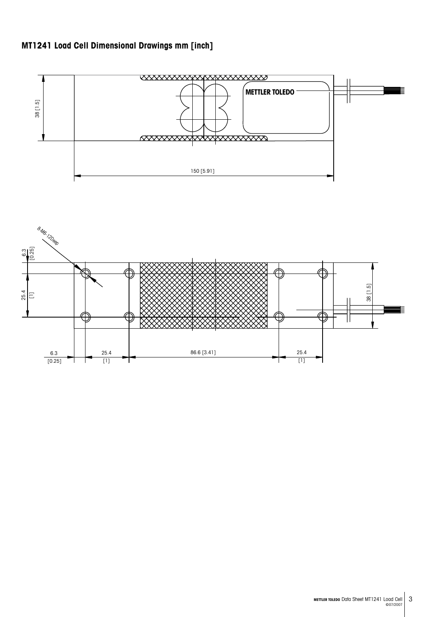